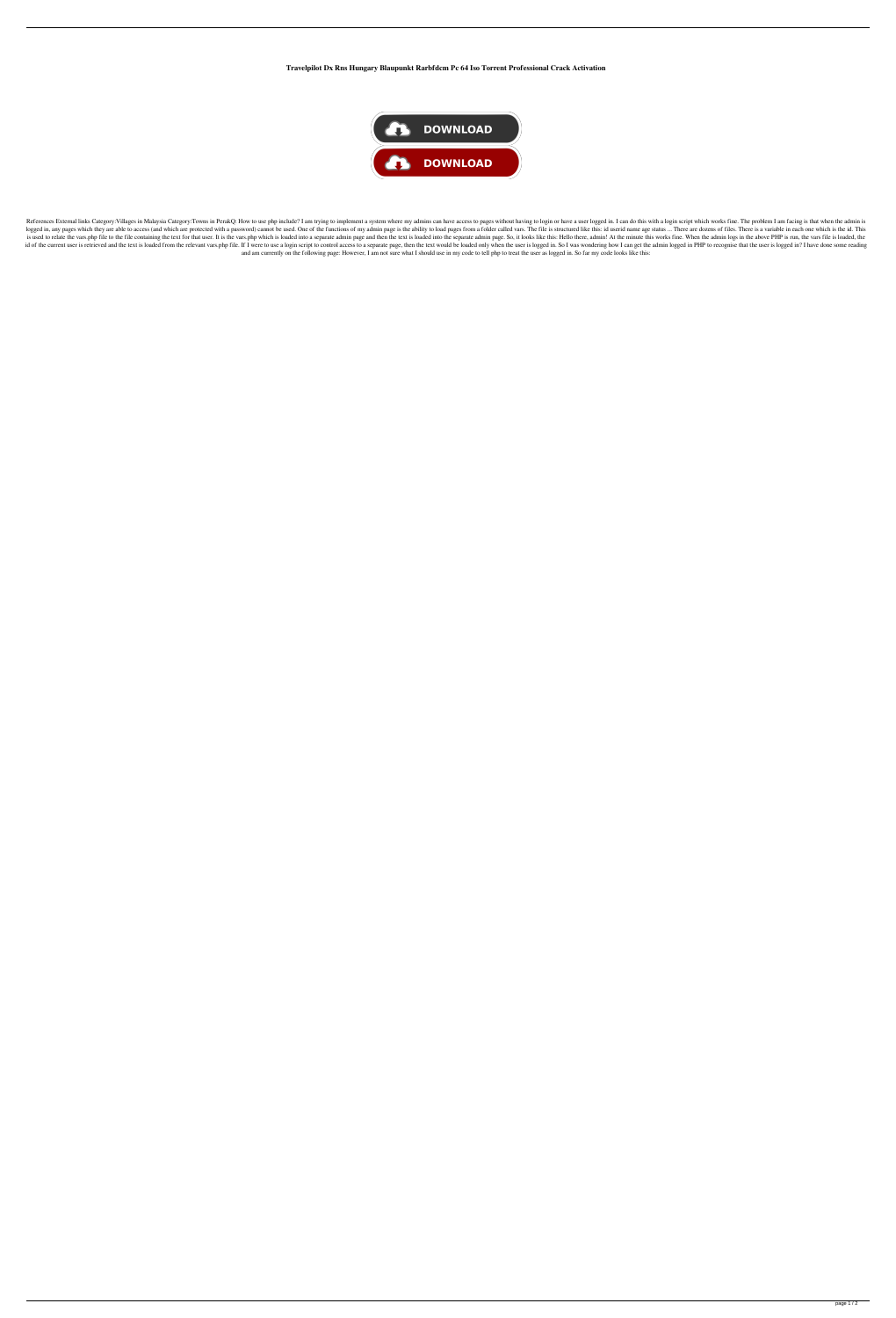**Travelpilot Dx Rns Hungary Blaupunkt Rarbfdcm Pc 64 Iso Torrent Professional Crack Activation**



References External links Category: Villages in Malaysia Category: Towns in PerakQ: How to use php include? I am trying to implement a system where my admins can have access to pages without having to login or have a user logged in, any pages which they are able to access (and which are protected with a password) cannot be used. One of the functions of my admin page is the ability to load pages from a folder called vars. The file is structu is used to relate the vars.php file to the file containing the text for that user. It is the vars.php which is loaded into a separate admin page and then the text is loaded into the separate admin page. So, it looks like t id of the current user is retrieved and the text is loaded from the relevant vars.php file. If I were to use a login script to control access to a separate page, then the text would be loaded only when the user is logged i and am currently on the following page: However, I am not sure what I should use in my code to tell php to treat the user as logged in. So far my code looks like this: